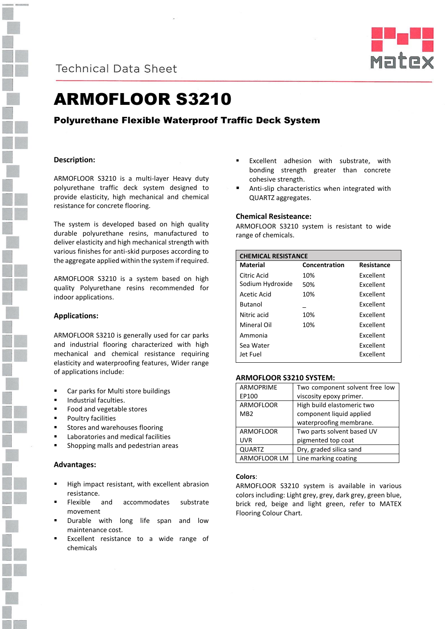

**Technical Data Sheet** 



# ARMOFLOOR S3210

# Polyurethane Flexible Waterproof Traffic Deck System

# **Description:**

ARMOFLOOR S3210 is a multi-layer Heavy duty polyurethane traffic deck system designed to provide elasticity, high mechanical and chemical resistance for concrete flooring.

The system is developed based on high quality durable polyurethane resins, manufactured to deliver elasticity and high mechanical strength with various finishes for anti-skid purposes according to the aggregate applied within the system if required.

ARMOFLOOR S3210 is a system based on high quality Polyurethane resins recommended for indoor applications.

## **Applications:**

ARMOFLOOR S3210 is generally used for car parks and industrial flooring characterized with high mechanical and chemical resistance requiring elasticity and waterproofing features, Wider range of applications include:

- Car parks for Multi store buildings
- Industrial faculties.
- Food and vegetable stores
- Poultry facilities
- Stores and warehouses flooring
- Laboratories and medical facilities
- Shopping malls and pedestrian areas

#### **Advantages:**

- High impact resistant, with excellent abrasion resistance.
- Flexible and accommodates substrate movement
- Durable with long life span and low maintenance cost.
- Excellent resistance to a wide range of chemicals
- **Excellent adhesion with substrate, with** bonding strength greater than concrete cohesive strength.
- Anti-slip characteristics when integrated with QUARTZ aggregates.

#### **Chemical Resisteance:**

ARMOFLOOR S3210 system is resistant to wide range of chemicals.

| <b>CHEMICAL RESISTANCE</b> |               |                   |
|----------------------------|---------------|-------------------|
| <b>Material</b>            | Concentration | <b>Resistance</b> |
| Citric Acid                | 10%           | <b>Fxcellent</b>  |
| Sodium Hydroxide           | 50%           | <b>Excellent</b>  |
| Acetic Acid                | 10%           | <b>Excellent</b>  |
| <b>Butanol</b>             |               | Excellent         |
| Nitric acid                | 10%           | <b>Fxcellent</b>  |
| Mineral Oil                | 10%           | <b>Fxcellent</b>  |
| Ammonia                    |               | <b>Fxcellent</b>  |
| Sea Water                  |               | <b>Fxcellent</b>  |
| Jet Fuel                   |               | Excellent         |

#### **ARMOFLOOR S3210 SYSTEM:**

| <b>ARMOPRIME</b> | Two component solvent free low |
|------------------|--------------------------------|
| EP100            | viscosity epoxy primer.        |
| <b>ARMOFLOOR</b> | High build elastomeric two     |
| MB <sub>2</sub>  | component liquid applied       |
|                  | waterproofing membrane.        |
| <b>ARMOFLOOR</b> | Two parts solvent based UV     |
| <b>UVR</b>       | pigmented top coat             |
| <b>QUARTZ</b>    | Dry, graded silica sand        |
| ARMOFLOOR LM     | Line marking coating           |

### **Colors**:

ARMOFLOOR S3210 system is available in various colors including: Light grey, grey, dark grey, green blue, brick red, beige and light green, refer to MATEX Flooring Colour Chart.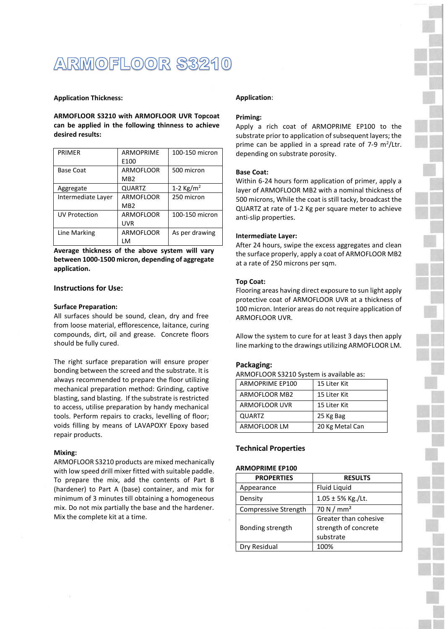# ARMOFLOOR S3210

#### **Application Thickness:**

**ARMOFLOOR S3210 with ARMOFLOOR UVR Topcoat can be applied in the following thinness to achieve desired results:**

| PRIMER               | <b>ARMOPRIME</b><br>E100            | 100-150 micron      |
|----------------------|-------------------------------------|---------------------|
| <b>Base Coat</b>     | <b>ARMOFLOOR</b><br>MB <sub>2</sub> | 500 micron          |
| Aggregate            | <b>QUARTZ</b>                       | 1-2 $\text{Kg/m}^2$ |
| Intermediate Laver   | ARMOFLOOR<br>MB <sub>2</sub>        | 250 micron          |
| <b>UV Protection</b> | ARMOFLOOR<br>UVR                    | 100-150 micron      |
| Line Marking         | <b>ARMOFLOOR</b><br>LM              | As per drawing      |

**Average thickness of the above system will vary between 1000-1500 micron, depending of aggregate application.**

### **Instructions for Use:**

#### **Surface Preparation:**

All surfaces should be sound, clean, dry and free from loose material, efflorescence, laitance, curing compounds, dirt, oil and grease. Concrete floors should be fully cured.

The right surface preparation will ensure proper bonding between the screed and the substrate. It is always recommended to prepare the floor utilizing mechanical preparation method: Grinding, captive blasting, sand blasting. If the substrate is restricted to access, utilise preparation by handy mechanical tools. Perform repairs to cracks, levelling of floor; voids filling by means of LAVAPOXY Epoxy based repair products.

#### **Mixing:**

ARMOFLOOR S3210 products are mixed mechanically with low speed drill mixer fitted with suitable paddle. To prepare the mix, add the contents of Part B (hardener) to Part A (base) container, and mix for minimum of 3 minutes till obtaining a homogeneous mix. Do not mix partially the base and the hardener. Mix the complete kit at a time.

#### **Application**:

#### **Priming:**

Apply a rich coat of ARMOPRIME EP100 to the substrate prior to application of subsequent layers; the prime can be applied in a spread rate of  $7-9$  m<sup>2</sup>/Ltr. depending on substrate porosity.

#### **Base Coat:**

Within 6-24 hours form application of primer, apply a layer of ARMOFLOOR MB2 with a nominal thickness of 500 microns, While the coat is still tacky, broadcast the QUARTZ at rate of 1-2 Kg per square meter to achieve anti-slip properties.

#### **Intermediate Layer:**

After 24 hours, swipe the excess aggregates and clean the surface properly, apply a coat of ARMOFLOOR MB2 at a rate of 250 microns per sqm.

#### **Top Coat:**

Flooring areas having direct exposure to sun light apply protective coat of ARMOFLOOR UVR at a thickness of 100 micron. Interior areas do not require application of ARMOFLOOR UVR.

Allow the system to cure for at least 3 days then apply line marking to the drawings utilizing ARMOFLOOR LM.

#### **Packaging:**

ARMOFLOOR S3210 System is available as:

| ARMOPRIME EP100 | 15 Liter Kit    |
|-----------------|-----------------|
| ARMOFLOOR MB2   | 15 Liter Kit    |
| ARMOFLOOR UVR   | 15 Liter Kit    |
| QUARTZ          | 25 Kg Bag       |
| ARMOFLOOR LM    | 20 Kg Metal Can |

#### **Technical Properties**

## **ARMOPRIME EP100**

| <b>PROPERTIES</b>    | <b>RESULTS</b>         |
|----------------------|------------------------|
| Appearance           | <b>Fluid Liquid</b>    |
| Density              | $1.05 \pm 5\%$ Kg./Lt. |
| Compressive Strength | 70 N / $mm2$           |
|                      | Greater than cohesive  |
| Bonding strength     | strength of concrete   |
|                      | substrate              |
| Dry Residual         | 100%                   |